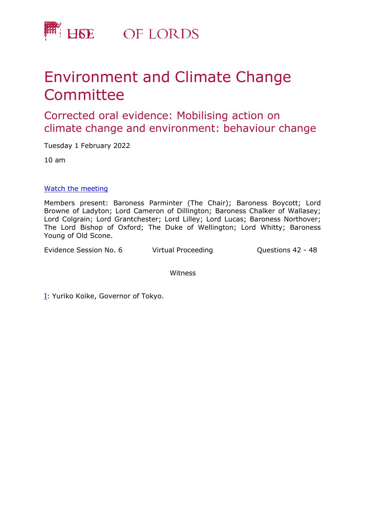

## Environment and Climate Change **Committee**

## Corrected oral evidence: Mobilising action on climate change and environment: behaviour change

Tuesday 1 February 2022

10 am

[Watch](https://parliamentlive.tv/event/index/d5f58313-abca-4232-b806-fef199c91305) [the](https://parliamentlive.tv/event/index/d5f58313-abca-4232-b806-fef199c91305) [m](https://parliamentlive.tv/event/index/d5f58313-abca-4232-b806-fef199c91305)eeting

Members present: Baroness Parminter (The Chair); Baroness Boycott; Lord Browne of Ladyton; Lord Cameron of Dillington; Baroness Chalker of Wallasey; Lord Colgrain; Lord Grantchester; Lord Lilley; Lord Lucas; Baroness Northover; The Lord Bishop of Oxford; The Duke of Wellington; Lord Whitty; Baroness Young of Old Scone.

Evidence Session No. 6 Virtual Proceeding Cuestions 42 - 48

Witness

[I:](#page-1-0) Yuriko Koike, Governor of Tokyo.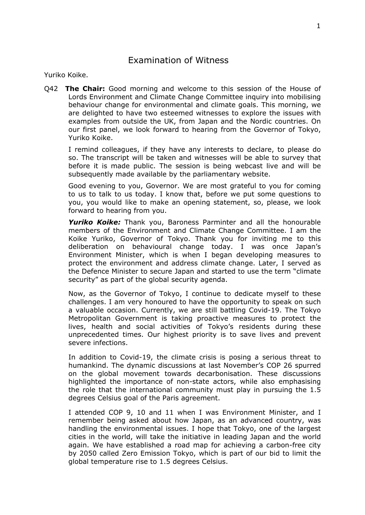## Examination of Witness

Yuriko Koike.

<span id="page-1-0"></span>Q42 **The Chair:** Good morning and welcome to this session of the House of Lords Environment and Climate Change Committee inquiry into mobilising behaviour change for environmental and climate goals. This morning, we are delighted to have two esteemed witnesses to explore the issues with examples from outside the UK, from Japan and the Nordic countries. On our first panel, we look forward to hearing from the Governor of Tokyo, Yuriko Koike.

I remind colleagues, if they have any interests to declare, to please do so. The transcript will be taken and witnesses will be able to survey that before it is made public. The session is being webcast live and will be subsequently made available by the parliamentary website.

Good evening to you, Governor. We are most grateful to you for coming to us to talk to us today. I know that, before we put some questions to you, you would like to make an opening statement, so, please, we look forward to hearing from you.

*Yuriko Koike:* Thank you, Baroness Parminter and all the honourable members of the Environment and Climate Change Committee. I am the Koike Yuriko, Governor of Tokyo. Thank you for inviting me to this deliberation on behavioural change today. I was once Japan's Environment Minister, which is when I began developing measures to protect the environment and address climate change. Later, I served as the Defence Minister to secure Japan and started to use the term "climate security" as part of the global security agenda.

Now, as the Governor of Tokyo, I continue to dedicate myself to these challenges. I am very honoured to have the opportunity to speak on such a valuable occasion. Currently, we are still battling Covid-19. The Tokyo Metropolitan Government is taking proactive measures to protect the lives, health and social activities of Tokyo's residents during these unprecedented times. Our highest priority is to save lives and prevent severe infections.

In addition to Covid-19, the climate crisis is posing a serious threat to humankind. The dynamic discussions at last November's COP 26 spurred on the global movement towards decarbonisation. These discussions highlighted the importance of non-state actors, while also emphasising the role that the international community must play in pursuing the 1.5 degrees Celsius goal of the Paris agreement.

I attended COP 9, 10 and 11 when I was Environment Minister, and I remember being asked about how Japan, as an advanced country, was handling the environmental issues. I hope that Tokyo, one of the largest cities in the world, will take the initiative in leading Japan and the world again. We have established a road map for achieving a carbon-free city by 2050 called Zero Emission Tokyo, which is part of our bid to limit the global temperature rise to 1.5 degrees Celsius.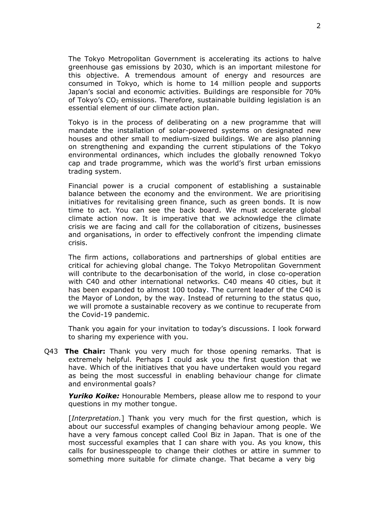The Tokyo Metropolitan Government is accelerating its actions to halve greenhouse gas emissions by 2030, which is an important milestone for this objective. A tremendous amount of energy and resources are consumed in Tokyo, which is home to 14 million people and supports Japan's social and economic activities. Buildings are responsible for 70% of Tokyo's  $CO<sub>2</sub>$  emissions. Therefore, sustainable building legislation is an essential element of our climate action plan.

Tokyo is in the process of deliberating on a new programme that will mandate the installation of solar-powered systems on designated new houses and other small to medium-sized buildings. We are also planning on strengthening and expanding the current stipulations of the Tokyo environmental ordinances, which includes the globally renowned Tokyo cap and trade programme, which was the world's first urban emissions trading system.

Financial power is a crucial component of establishing a sustainable balance between the economy and the environment. We are prioritising initiatives for revitalising green finance, such as green bonds. It is now time to act. You can see the back board. We must accelerate global climate action now. It is imperative that we acknowledge the climate crisis we are facing and call for the collaboration of citizens, businesses and organisations, in order to effectively confront the impending climate crisis.

The firm actions, collaborations and partnerships of global entities are critical for achieving global change. The Tokyo Metropolitan Government will contribute to the decarbonisation of the world, in close co-operation with C40 and other international networks. C40 means 40 cities, but it has been expanded to almost 100 today. The current leader of the C40 is the Mayor of London, by the way. Instead of returning to the status quo, we will promote a sustainable recovery as we continue to recuperate from the Covid-19 pandemic.

Thank you again for your invitation to today's discussions. I look forward to sharing my experience with you.

Q43 **The Chair:** Thank you very much for those opening remarks. That is extremely helpful. Perhaps I could ask you the first question that we have. Which of the initiatives that you have undertaken would you regard as being the most successful in enabling behaviour change for climate and environmental goals?

*Yuriko Koike:* Honourable Members, please allow me to respond to your questions in my mother tongue.

[*Interpretation.*] Thank you very much for the first question, which is about our successful examples of changing behaviour among people. We have a very famous concept called Cool Biz in Japan. That is one of the most successful examples that I can share with you. As you know, this calls for businesspeople to change their clothes or attire in summer to something more suitable for climate change. That became a very big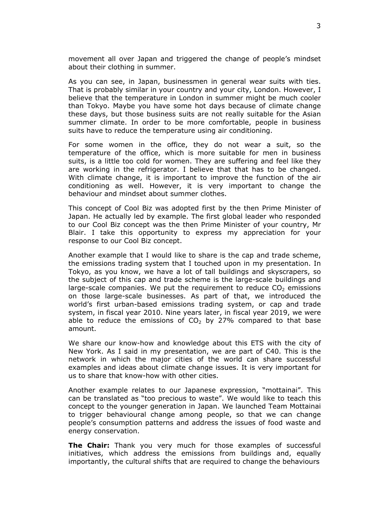movement all over Japan and triggered the change of people's mindset about their clothing in summer.

As you can see, in Japan, businessmen in general wear suits with ties. That is probably similar in your country and your city, London. However, I believe that the temperature in London in summer might be much cooler than Tokyo. Maybe you have some hot days because of climate change these days, but those business suits are not really suitable for the Asian summer climate. In order to be more comfortable, people in business suits have to reduce the temperature using air conditioning.

For some women in the office, they do not wear a suit, so the temperature of the office, which is more suitable for men in business suits, is a little too cold for women. They are suffering and feel like they are working in the refrigerator. I believe that that has to be changed. With climate change, it is important to improve the function of the air conditioning as well. However, it is very important to change the behaviour and mindset about summer clothes.

This concept of Cool Biz was adopted first by the then Prime Minister of Japan. He actually led by example. The first global leader who responded to our Cool Biz concept was the then Prime Minister of your country, Mr Blair. I take this opportunity to express my appreciation for your response to our Cool Biz concept.

Another example that I would like to share is the cap and trade scheme, the emissions trading system that I touched upon in my presentation. In Tokyo, as you know, we have a lot of tall buildings and skyscrapers, so the subject of this cap and trade scheme is the large-scale buildings and large-scale companies. We put the requirement to reduce  $CO<sub>2</sub>$  emissions on those large-scale businesses. As part of that, we introduced the world's first urban-based emissions trading system, or cap and trade system, in fiscal year 2010. Nine years later, in fiscal year 2019, we were able to reduce the emissions of  $CO<sub>2</sub>$  by 27% compared to that base amount.

We share our know-how and knowledge about this ETS with the city of New York. As I said in my presentation, we are part of C40. This is the network in which the major cities of the world can share successful examples and ideas about climate change issues. It is very important for us to share that know-how with other cities.

Another example relates to our Japanese expression, "mottainai". This can be translated as "too precious to waste". We would like to teach this concept to the younger generation in Japan. We launched Team Mottainai to trigger behavioural change among people, so that we can change people's consumption patterns and address the issues of food waste and energy conservation.

**The Chair:** Thank you very much for those examples of successful initiatives, which address the emissions from buildings and, equally importantly, the cultural shifts that are required to change the behaviours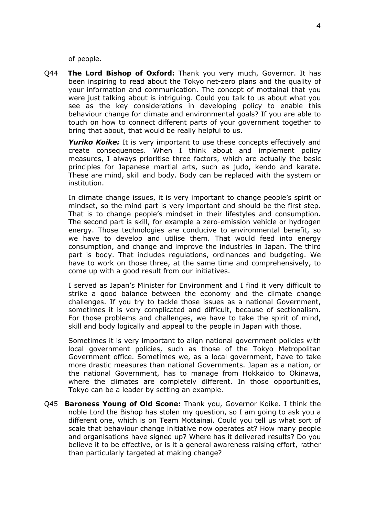of people.

Q44 **The Lord Bishop of Oxford:** Thank you very much, Governor. It has been inspiring to read about the Tokyo net-zero plans and the quality of your information and communication. The concept of mottainai that you were just talking about is intriguing. Could you talk to us about what you see as the key considerations in developing policy to enable this behaviour change for climate and environmental goals? If you are able to touch on how to connect different parts of your government together to bring that about, that would be really helpful to us.

*Yuriko Koike:* It is very important to use these concepts effectively and create consequences. When I think about and implement policy measures, I always prioritise three factors, which are actually the basic principles for Japanese martial arts, such as judo, kendo and karate. These are mind, skill and body. Body can be replaced with the system or institution.

In climate change issues, it is very important to change people's spirit or mindset, so the mind part is very important and should be the first step. That is to change people's mindset in their lifestyles and consumption. The second part is skill, for example a zero-emission vehicle or hydrogen energy. Those technologies are conducive to environmental benefit, so we have to develop and utilise them. That would feed into energy consumption, and change and improve the industries in Japan. The third part is body. That includes regulations, ordinances and budgeting. We have to work on those three, at the same time and comprehensively, to come up with a good result from our initiatives.

I served as Japan's Minister for Environment and I find it very difficult to strike a good balance between the economy and the climate change challenges. If you try to tackle those issues as a national Government, sometimes it is very complicated and difficult, because of sectionalism. For those problems and challenges, we have to take the spirit of mind, skill and body logically and appeal to the people in Japan with those.

Sometimes it is very important to align national government policies with local government policies, such as those of the Tokyo Metropolitan Government office. Sometimes we, as a local government, have to take more drastic measures than national Governments. Japan as a nation, or the national Government, has to manage from Hokkaido to Okinawa, where the climates are completely different. In those opportunities, Tokyo can be a leader by setting an example.

Q45 **Baroness Young of Old Scone:** Thank you, Governor Koike. I think the noble Lord the Bishop has stolen my question, so I am going to ask you a different one, which is on Team Mottainai. Could you tell us what sort of scale that behaviour change initiative now operates at? How many people and organisations have signed up? Where has it delivered results? Do you believe it to be effective, or is it a general awareness raising effort, rather than particularly targeted at making change?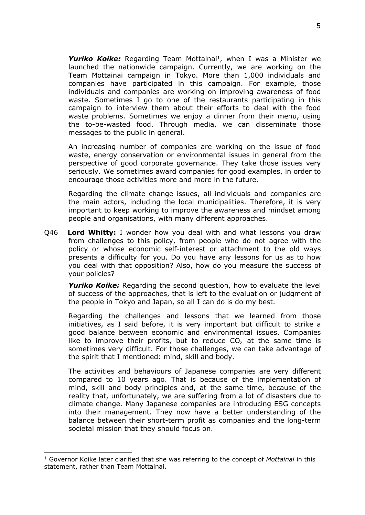Yuriko Koike: Regarding Team Mottainai<sup>1</sup>, when I was a Minister we launched the nationwide campaign. Currently, we are working on the Team Mottainai campaign in Tokyo. More than 1,000 individuals and companies have participated in this campaign. For example, those individuals and companies are working on improving awareness of food waste. Sometimes I go to one of the restaurants participating in this campaign to interview them about their efforts to deal with the food waste problems. Sometimes we enjoy a dinner from their menu, using the to-be-wasted food. Through media, we can disseminate those messages to the public in general.

An increasing number of companies are working on the issue of food waste, energy conservation or environmental issues in general from the perspective of good corporate governance. They take those issues very seriously. We sometimes award companies for good examples, in order to encourage those activities more and more in the future.

Regarding the climate change issues, all individuals and companies are the main actors, including the local municipalities. Therefore, it is very important to keep working to improve the awareness and mindset among people and organisations, with many different approaches.

Q46 **Lord Whitty:** I wonder how you deal with and what lessons you draw from challenges to this policy, from people who do not agree with the policy or whose economic self-interest or attachment to the old ways presents a difficulty for you. Do you have any lessons for us as to how you deal with that opposition? Also, how do you measure the success of your policies?

*Yuriko Koike:* Regarding the second question, how to evaluate the level of success of the approaches, that is left to the evaluation or judgment of the people in Tokyo and Japan, so all I can do is do my best.

Regarding the challenges and lessons that we learned from those initiatives, as I said before, it is very important but difficult to strike a good balance between economic and environmental issues. Companies like to improve their profits, but to reduce  $CO<sub>2</sub>$  at the same time is sometimes very difficult. For those challenges, we can take advantage of the spirit that I mentioned: mind, skill and body.

The activities and behaviours of Japanese companies are very different compared to 10 years ago. That is because of the implementation of mind, skill and body principles and, at the same time, because of the reality that, unfortunately, we are suffering from a lot of disasters due to climate change. Many Japanese companies are introducing ESG concepts into their management. They now have a better understanding of the balance between their short-term profit as companies and the long-term societal mission that they should focus on.

<sup>1</sup> Governor Koike later clarified that she was referring to the concept of *Mottainai* in this statement, rather than Team Mottainai.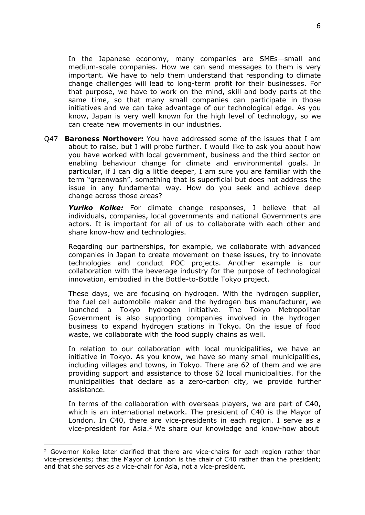In the Japanese economy, many companies are SMEs—small and medium-scale companies. How we can send messages to them is very important. We have to help them understand that responding to climate change challenges will lead to long-term profit for their businesses. For that purpose, we have to work on the mind, skill and body parts at the same time, so that many small companies can participate in those initiatives and we can take advantage of our technological edge. As you know, Japan is very well known for the high level of technology, so we can create new movements in our industries.

Q47 **Baroness Northover:** You have addressed some of the issues that I am about to raise, but I will probe further. I would like to ask you about how you have worked with local government, business and the third sector on enabling behaviour change for climate and environmental goals. In particular, if I can dig a little deeper, I am sure you are familiar with the term "greenwash", something that is superficial but does not address the issue in any fundamental way. How do you seek and achieve deep change across those areas?

*Yuriko Koike:* For climate change responses, I believe that all individuals, companies, local governments and national Governments are actors. It is important for all of us to collaborate with each other and share know-how and technologies.

Regarding our partnerships, for example, we collaborate with advanced companies in Japan to create movement on these issues, try to innovate technologies and conduct POC projects. Another example is our collaboration with the beverage industry for the purpose of technological innovation, embodied in the Bottle-to-Bottle Tokyo project.

These days, we are focusing on hydrogen. With the hydrogen supplier, the fuel cell automobile maker and the hydrogen bus manufacturer, we launched a Tokyo hydrogen initiative. The Tokyo Metropolitan Government is also supporting companies involved in the hydrogen business to expand hydrogen stations in Tokyo. On the issue of food waste, we collaborate with the food supply chains as well.

In relation to our collaboration with local municipalities, we have an initiative in Tokyo. As you know, we have so many small municipalities, including villages and towns, in Tokyo. There are 62 of them and we are providing support and assistance to those 62 local municipalities. For the municipalities that declare as a zero-carbon city, we provide further assistance.

In terms of the collaboration with overseas players, we are part of C40, which is an international network. The president of C40 is the Mayor of London. In C40, there are vice-presidents in each region. I serve as a vice-president for Asia.<sup>2</sup> We share our knowledge and know-how about

<sup>&</sup>lt;sup>2</sup> Governor Koike later clarified that there are vice-chairs for each region rather than vice-presidents; that the Mayor of London is the chair of C40 rather than the president; and that she serves as a vice-chair for Asia, not a vice-president.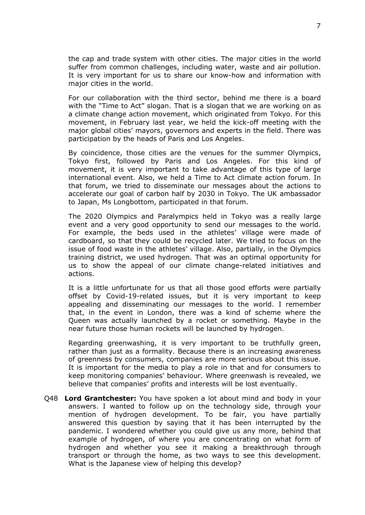the cap and trade system with other cities. The major cities in the world suffer from common challenges, including water, waste and air pollution. It is very important for us to share our know-how and information with major cities in the world.

For our collaboration with the third sector, behind me there is a board with the "Time to Act" slogan. That is a slogan that we are working on as a climate change action movement, which originated from Tokyo. For this movement, in February last year, we held the kick-off meeting with the major global cities' mayors, governors and experts in the field. There was participation by the heads of Paris and Los Angeles.

By coincidence, those cities are the venues for the summer Olympics, Tokyo first, followed by Paris and Los Angeles. For this kind of movement, it is very important to take advantage of this type of large international event. Also, we held a Time to Act climate action forum. In that forum, we tried to disseminate our messages about the actions to accelerate our goal of carbon half by 2030 in Tokyo. The UK ambassador to Japan, Ms Longbottom, participated in that forum.

The 2020 Olympics and Paralympics held in Tokyo was a really large event and a very good opportunity to send our messages to the world. For example, the beds used in the athletes' village were made of cardboard, so that they could be recycled later. We tried to focus on the issue of food waste in the athletes' village. Also, partially, in the Olympics training district, we used hydrogen. That was an optimal opportunity for us to show the appeal of our climate change-related initiatives and actions.

It is a little unfortunate for us that all those good efforts were partially offset by Covid-19-related issues, but it is very important to keep appealing and disseminating our messages to the world. I remember that, in the event in London, there was a kind of scheme where the Queen was actually launched by a rocket or something. Maybe in the near future those human rockets will be launched by hydrogen.

Regarding greenwashing, it is very important to be truthfully green, rather than just as a formality. Because there is an increasing awareness of greenness by consumers, companies are more serious about this issue. It is important for the media to play a role in that and for consumers to keep monitoring companies' behaviour. Where greenwash is revealed, we believe that companies' profits and interests will be lost eventually.

Q48 **Lord Grantchester:** You have spoken a lot about mind and body in your answers. I wanted to follow up on the technology side, through your mention of hydrogen development. To be fair, you have partially answered this question by saying that it has been interrupted by the pandemic. I wondered whether you could give us any more, behind that example of hydrogen, of where you are concentrating on what form of hydrogen and whether you see it making a breakthrough through transport or through the home, as two ways to see this development. What is the Japanese view of helping this develop?